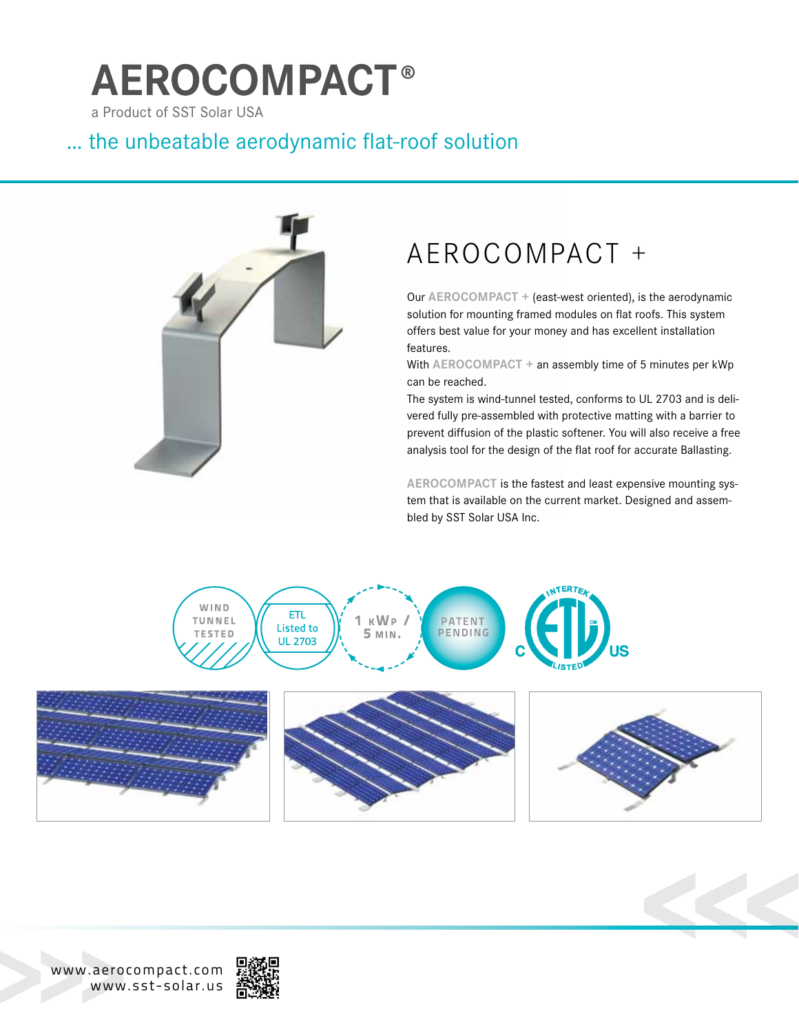# **AEROCOMPACT®**

a Product of SST Solar USA

### … the unbeatable aerodynamic flat-roof solution



## AEROCOMPACT +

Our **AEROCOMPACT** + (east-west oriented), is the aerodynamic solution for mounting framed modules on flat roofs. This system offers best value for your money and has excellent installation features.

With **AEROCOMPACT** + an assembly time of 5 minutes per kWp can be reached.

The system is wind-tunnel tested, conforms to UL 2703 and is delivered fully pre-assembled with protective matting with a barrier to prevent diffusion of the plastic softener. You will also receive a free analysis tool for the design of the flat roof for accurate Ballasting.

AEROCOMPACT is the fastest and least expensive mounting system that is available on the current market. Designed and assembled by SST Solar USA Inc.